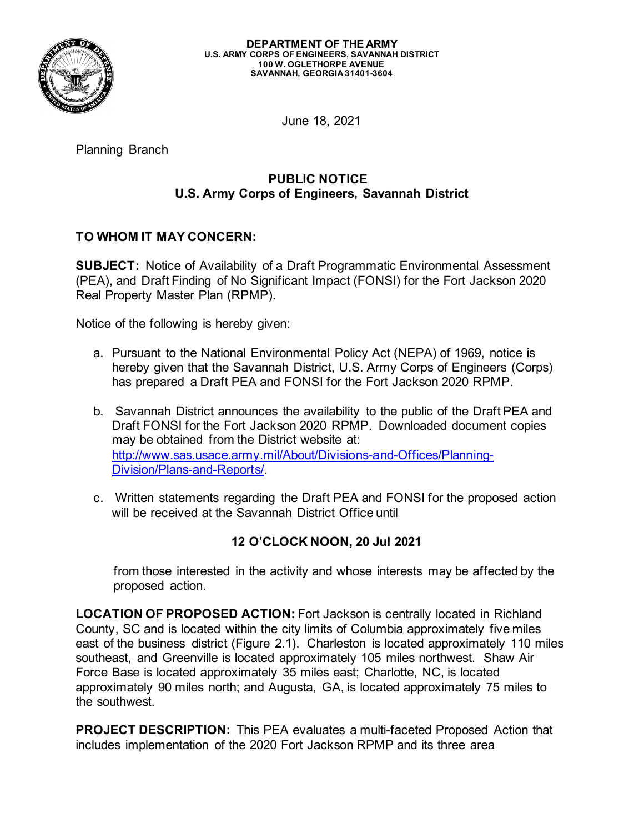

June 18, 2021

Planning Branch

## **PUBLIC NOTICE U.S. Army Corps of Engineers, Savannah District**

## **TO WHOM IT MAY CONCERN:**

**SUBJECT:** Notice of Availability of a Draft Programmatic Environmental Assessment (PEA), and Draft Finding of No Significant Impact (FONSI) for the Fort Jackson 2020 Real Property Master Plan (RPMP).

Notice of the following is hereby given:

- a. Pursuant to the National Environmental Policy Act (NEPA) of 1969, notice is hereby given that the Savannah District, U.S. Army Corps of Engineers (Corps) has prepared a Draft PEA and FONSI for the Fort Jackson 2020 RPMP.
- b. Savannah District announces the availability to the public of the Draft PEA and Draft FONSI for the Fort Jackson 2020 RPMP. Downloaded document copies may be obtained from the District website at: [http://www.sas.usace.army.mil/About/Divisions-and-Offices/Planning-](http://www.sas.usace.army.mil/About/Divisions-and-Offices/Planning-Division/Plans-and-Reports/)[Division/Plans-and-Reports/.](http://www.sas.usace.army.mil/About/Divisions-and-Offices/Planning-Division/Plans-and-Reports/)
- c. Written statements regarding the Draft PEA and FONSI for the proposed action will be received at the Savannah District Office until

## **12 O'CLOCK NOON, 20 Jul 2021**

from those interested in the activity and whose interests may be affected by the proposed action.

**LOCATION OF PROPOSED ACTION:** Fort Jackson is centrally located in Richland County, SC and is located within the city limits of Columbia approximately five miles east of the business district (Figure 2.1). Charleston is located approximately 110 miles southeast, and Greenville is located approximately 105 miles northwest. Shaw Air Force Base is located approximately 35 miles east; Charlotte, NC, is located approximately 90 miles north; and Augusta, GA, is located approximately 75 miles to the southwest.

**PROJECT DESCRIPTION:** This PEA evaluates a multi-faceted Proposed Action that includes implementation of the 2020 Fort Jackson RPMP and its three area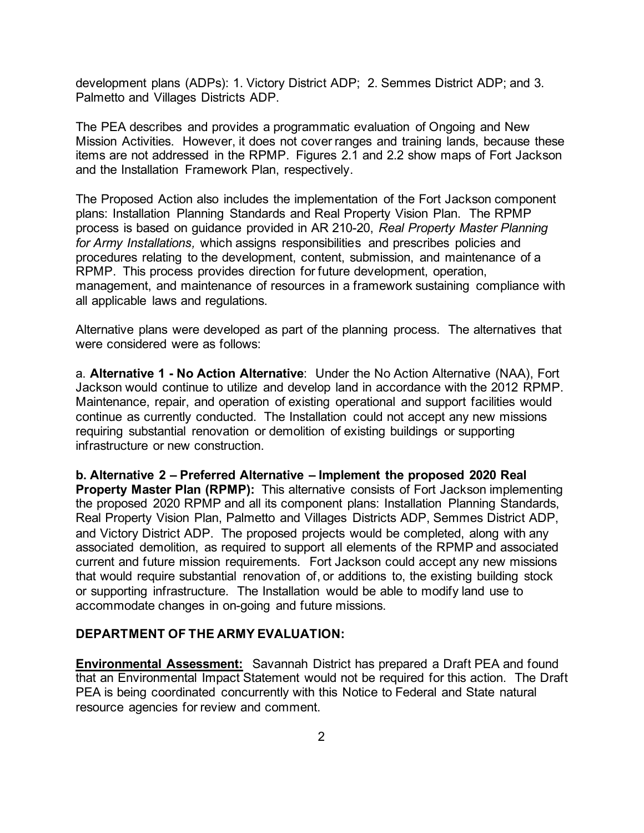development plans (ADPs): 1. Victory District ADP; 2. Semmes District ADP; and 3. Palmetto and Villages Districts ADP.

The PEA describes and provides a programmatic evaluation of Ongoing and New Mission Activities. However, it does not cover ranges and training lands, because these items are not addressed in the RPMP. Figures 2.1 and 2.2 show maps of Fort Jackson and the Installation Framework Plan, respectively.

The Proposed Action also includes the implementation of the Fort Jackson component plans: Installation Planning Standards and Real Property Vision Plan. The RPMP process is based on guidance provided in AR 210-20, *Real Property Master Planning for Army Installations,* which assigns responsibilities and prescribes policies and procedures relating to the development, content, submission, and maintenance of a RPMP. This process provides direction for future development, operation, management, and maintenance of resources in a framework sustaining compliance with all applicable laws and regulations.

Alternative plans were developed as part of the planning process. The alternatives that were considered were as follows:

a. **Alternative 1 - No Action Alternative**: Under the No Action Alternative (NAA), Fort Jackson would continue to utilize and develop land in accordance with the 2012 RPMP. Maintenance, repair, and operation of existing operational and support facilities would continue as currently conducted. The Installation could not accept any new missions requiring substantial renovation or demolition of existing buildings or supporting infrastructure or new construction.

**b. Alternative 2 – Preferred Alternative – Implement the proposed 2020 Real Property Master Plan (RPMP):** This alternative consists of Fort Jackson implementing the proposed 2020 RPMP and all its component plans: Installation Planning Standards, Real Property Vision Plan, Palmetto and Villages Districts ADP, Semmes District ADP, and Victory District ADP. The proposed projects would be completed, along with any associated demolition, as required to support all elements of the RPMP and associated current and future mission requirements. Fort Jackson could accept any new missions that would require substantial renovation of, or additions to, the existing building stock or supporting infrastructure. The Installation would be able to modify land use to accommodate changes in on-going and future missions.

## **DEPARTMENT OF THE ARMY EVALUATION:**

**Environmental Assessment:** Savannah District has prepared a Draft PEA and found that an Environmental Impact Statement would not be required for this action. The Draft PEA is being coordinated concurrently with this Notice to Federal and State natural resource agencies for review and comment.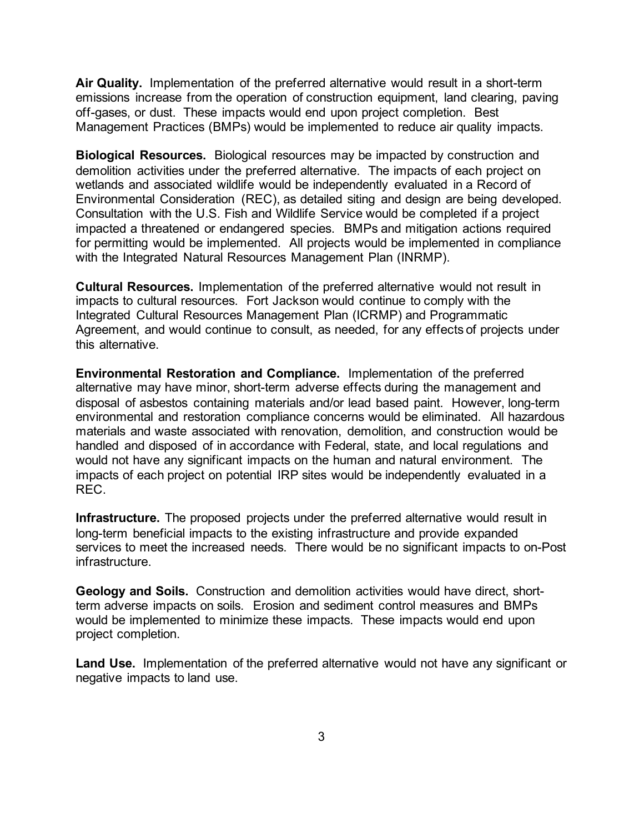**Air Quality.** Implementation of the preferred alternative would result in a short-term emissions increase from the operation of construction equipment, land clearing, paving off-gases, or dust. These impacts would end upon project completion. Best Management Practices (BMPs) would be implemented to reduce air quality impacts.

**Biological Resources.** Biological resources may be impacted by construction and demolition activities under the preferred alternative. The impacts of each project on wetlands and associated wildlife would be independently evaluated in a Record of Environmental Consideration (REC), as detailed siting and design are being developed. Consultation with the U.S. Fish and Wildlife Service would be completed if a project impacted a threatened or endangered species. BMPs and mitigation actions required for permitting would be implemented. All projects would be implemented in compliance with the Integrated Natural Resources Management Plan (INRMP).

**Cultural Resources.** Implementation of the preferred alternative would not result in impacts to cultural resources. Fort Jackson would continue to comply with the Integrated Cultural Resources Management Plan (ICRMP) and Programmatic Agreement, and would continue to consult, as needed, for any effects of projects under this alternative.

**Environmental Restoration and Compliance.** Implementation of the preferred alternative may have minor, short-term adverse effects during the management and disposal of asbestos containing materials and/or lead based paint. However, long-term environmental and restoration compliance concerns would be eliminated. All hazardous materials and waste associated with renovation, demolition, and construction would be handled and disposed of in accordance with Federal, state, and local regulations and would not have any significant impacts on the human and natural environment. The impacts of each project on potential IRP sites would be independently evaluated in a REC.

**Infrastructure.** The proposed projects under the preferred alternative would result in long-term beneficial impacts to the existing infrastructure and provide expanded services to meet the increased needs. There would be no significant impacts to on-Post infrastructure.

**Geology and Soils.** Construction and demolition activities would have direct, shortterm adverse impacts on soils. Erosion and sediment control measures and BMPs would be implemented to minimize these impacts. These impacts would end upon project completion.

**Land Use.** Implementation of the preferred alternative would not have any significant or negative impacts to land use.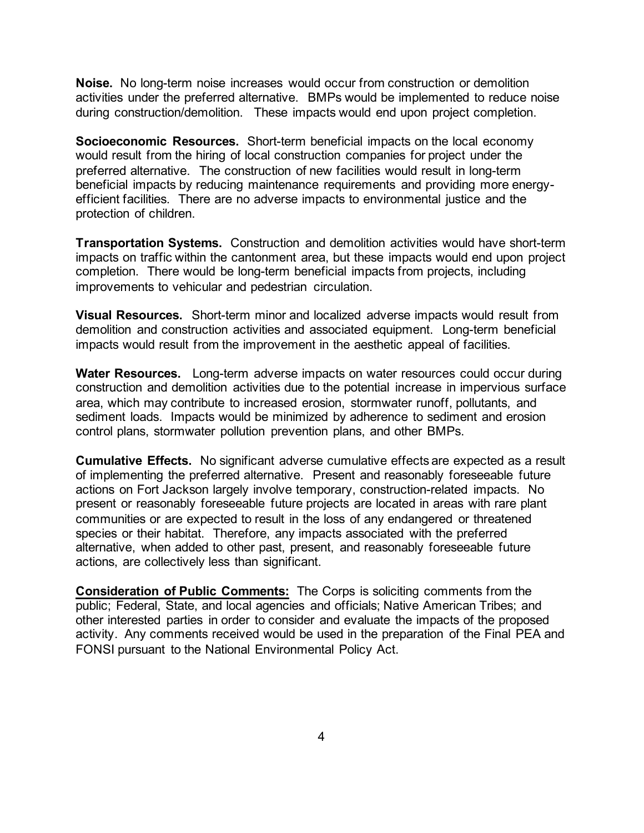**Noise.** No long-term noise increases would occur from construction or demolition activities under the preferred alternative. BMPs would be implemented to reduce noise during construction/demolition. These impacts would end upon project completion.

**Socioeconomic Resources.** Short-term beneficial impacts on the local economy would result from the hiring of local construction companies for project under the preferred alternative. The construction of new facilities would result in long-term beneficial impacts by reducing maintenance requirements and providing more energyefficient facilities. There are no adverse impacts to environmental justice and the protection of children.

**Transportation Systems.** Construction and demolition activities would have short-term impacts on traffic within the cantonment area, but these impacts would end upon project completion. There would be long-term beneficial impacts from projects, including improvements to vehicular and pedestrian circulation.

**Visual Resources.** Short-term minor and localized adverse impacts would result from demolition and construction activities and associated equipment. Long-term beneficial impacts would result from the improvement in the aesthetic appeal of facilities.

**Water Resources.** Long-term adverse impacts on water resources could occur during construction and demolition activities due to the potential increase in impervious surface area, which may contribute to increased erosion, stormwater runoff, pollutants, and sediment loads. Impacts would be minimized by adherence to sediment and erosion control plans, stormwater pollution prevention plans, and other BMPs.

**Cumulative Effects.** No significant adverse cumulative effects are expected as a result of implementing the preferred alternative. Present and reasonably foreseeable future actions on Fort Jackson largely involve temporary, construction-related impacts. No present or reasonably foreseeable future projects are located in areas with rare plant communities or are expected to result in the loss of any endangered or threatened species or their habitat. Therefore, any impacts associated with the preferred alternative, when added to other past, present, and reasonably foreseeable future actions, are collectively less than significant.

**Consideration of Public Comments:** The Corps is soliciting comments from the public; Federal, State, and local agencies and officials; Native American Tribes; and other interested parties in order to consider and evaluate the impacts of the proposed activity. Any comments received would be used in the preparation of the Final PEA and FONSI pursuant to the National Environmental Policy Act.